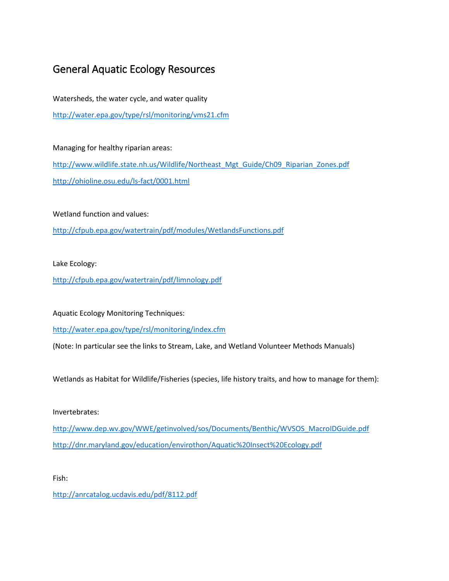## General Aquatic Ecology Resources

Watersheds, the water cycle, and water quality <http://water.epa.gov/type/rsl/monitoring/vms21.cfm>

Managing for healthy riparian areas: [http://www.wildlife.state.nh.us/Wildlife/Northeast\\_Mgt\\_Guide/Ch09\\_Riparian\\_Zones.pdf](http://www.wildlife.state.nh.us/Wildlife/Northeast_Mgt_Guide/Ch09_Riparian_Zones.pdf) <http://ohioline.osu.edu/ls-fact/0001.html>

Wetland function and values:

<http://cfpub.epa.gov/watertrain/pdf/modules/WetlandsFunctions.pdf>

Lake Ecology:

<http://cfpub.epa.gov/watertrain/pdf/limnology.pdf>

Aquatic Ecology Monitoring Techniques:

<http://water.epa.gov/type/rsl/monitoring/index.cfm>

(Note: In particular see the links to Stream, Lake, and Wetland Volunteer Methods Manuals)

Wetlands as Habitat for Wildlife/Fisheries (species, life history traits, and how to manage for them):

Invertebrates:

[http://www.dep.wv.gov/WWE/getinvolved/sos/Documents/Benthic/WVSOS\\_MacroIDGuide.pdf](http://www.dep.wv.gov/WWE/getinvolved/sos/Documents/Benthic/WVSOS_MacroIDGuide.pdf) <http://dnr.maryland.gov/education/envirothon/Aquatic%20Insect%20Ecology.pdf>

Fish:

<http://anrcatalog.ucdavis.edu/pdf/8112.pdf>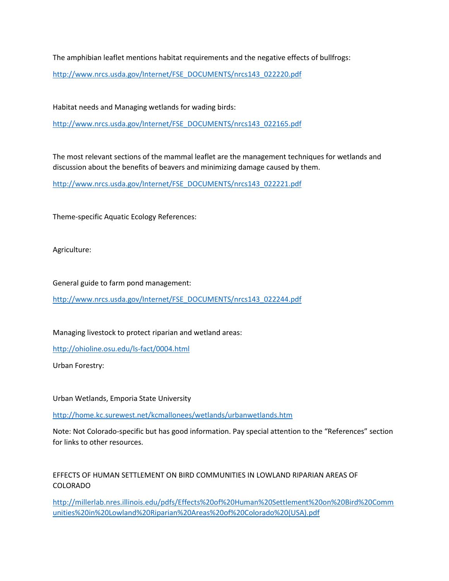The amphibian leaflet mentions habitat requirements and the negative effects of bullfrogs:

[http://www.nrcs.usda.gov/Internet/FSE\\_DOCUMENTS/nrcs143\\_022220.pdf](http://www.nrcs.usda.gov/Internet/FSE_DOCUMENTS/nrcs143_022220.pdf)

Habitat needs and Managing wetlands for wading birds:

[http://www.nrcs.usda.gov/Internet/FSE\\_DOCUMENTS/nrcs143\\_022165.pdf](http://www.nrcs.usda.gov/Internet/FSE_DOCUMENTS/nrcs143_022165.pdf)

The most relevant sections of the mammal leaflet are the management techniques for wetlands and discussion about the benefits of beavers and minimizing damage caused by them.

[http://www.nrcs.usda.gov/Internet/FSE\\_DOCUMENTS/nrcs143\\_022221.pdf](http://www.nrcs.usda.gov/Internet/FSE_DOCUMENTS/nrcs143_022221.pdf)

Theme-specific Aquatic Ecology References:

Agriculture:

General guide to farm pond management:

[http://www.nrcs.usda.gov/Internet/FSE\\_DOCUMENTS/nrcs143\\_022244.pdf](http://www.nrcs.usda.gov/Internet/FSE_DOCUMENTS/nrcs143_022244.pdf)

Managing livestock to protect riparian and wetland areas:

<http://ohioline.osu.edu/ls-fact/0004.html>

Urban Forestry:

Urban Wetlands, Emporia State University

<http://home.kc.surewest.net/kcmallonees/wetlands/urbanwetlands.htm>

Note: Not Colorado-specific but has good information. Pay special attention to the "References" section for links to other resources.

## EFFECTS OF HUMAN SETTLEMENT ON BIRD COMMUNITIES IN LOWLAND RIPARIAN AREAS OF COLORADO

[http://millerlab.nres.illinois.edu/pdfs/Effects%20of%20Human%20Settlement%20on%20Bird%20Comm](http://millerlab.nres.illinois.edu/pdfs/Effects%20of%20Human%20Settlement%20on%20Bird%20Communities%20in%20Lowland%20Riparian%20Areas%20of%20Colorado%20(USA).pdf) [unities%20in%20Lowland%20Riparian%20Areas%20of%20Colorado%20\(USA\).pdf](http://millerlab.nres.illinois.edu/pdfs/Effects%20of%20Human%20Settlement%20on%20Bird%20Communities%20in%20Lowland%20Riparian%20Areas%20of%20Colorado%20(USA).pdf)